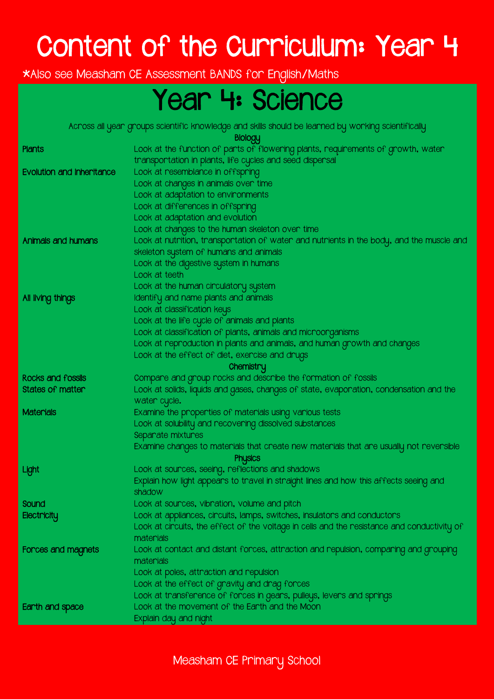# Content of the Curriculum: Year 4

\*Also see Measham CE Assessment BANDS for English/Maths

### Year 4: Science

Across all year groups scientific knowledge and skills should be learned by working scientifically

Biology

|                                  | Property                                                                                    |
|----------------------------------|---------------------------------------------------------------------------------------------|
| Plants                           | Look at the function of parts of flowering plants, requirements of growth, water            |
|                                  | transportation in plants, life cycles and seed dispersal                                    |
| <b>Evolution and inheritance</b> | Look at resemblance in offspring                                                            |
|                                  | Look at changes in animals over time                                                        |
|                                  | Look at adaptation to environments                                                          |
|                                  | Look at differences in offspring                                                            |
|                                  | Look at adaptation and evolution                                                            |
|                                  | Look at changes to the human skeleton over time                                             |
| Animals and humans               | Look at nutrition, transportation of water and nutrients in the body, and the muscle and    |
|                                  | skeleton system of humans and animals                                                       |
|                                  | Look at the digestive system in humans                                                      |
|                                  | Look at teeth                                                                               |
|                                  | Look at the human circulatory system                                                        |
| All living things                | Identify and name plants and animals                                                        |
|                                  | Look at classification keys                                                                 |
|                                  | Look at the life cycle of animals and plants                                                |
|                                  | Look at classification of plants, animals and microorganisms                                |
|                                  | Look at reproduction in plants and animals, and human growth and changes                    |
|                                  | Look at the effect of diet, exercise and drugs                                              |
|                                  | Chemistry                                                                                   |
| Rocks and fossils                | Compare and group rocks and describe the formation of fossils                               |
| States of matter                 | Look at solids, liquids and gases, changes of state, evaporation, condensation and the      |
|                                  | water cycle.                                                                                |
| Materials                        | Examine the properties of materials using various tests                                     |
|                                  | Look at solubility and recovering dissolved substances                                      |
|                                  | Separate mixtures                                                                           |
|                                  | Examine changes to materials that create new materials that are usually not reversible      |
|                                  | <b>Physics</b>                                                                              |
| Light                            | Look at sources, seeing, reflections and shadows                                            |
|                                  | Explain how light appears to travel in straight lines and how this affects seeing and       |
|                                  | shadow                                                                                      |
| Sound                            | Look at sources, vibration, volume and pitch                                                |
| Electricity                      | Look at appliances, circuits, lamps, switches, insulators and conductors                    |
|                                  | Look at circuits, the effect of the voltage in cells and the resistance and conductivity of |
|                                  | materials                                                                                   |
| Forces and magnets               | Look at contact and distant forces, attraction and repulsion, comparing and grouping        |
|                                  | materials                                                                                   |
|                                  | Look at poles, attraction and repulsion                                                     |
|                                  | Look at the effect of gravity and drag forces                                               |
|                                  | Look at transference of forces in gears, pulleys, levers and springs                        |
| Earth and space                  | Look at the movement of the Earth and the Moon                                              |
|                                  | Explain day and night                                                                       |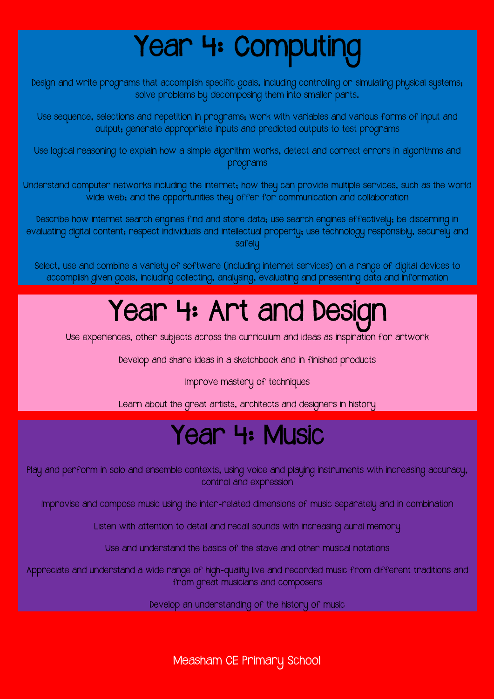# Year 4: Computing

Design and write programs that accomplish specific goals, including controlling or simulating physical systems; solve problems by decomposing them into smaller parts.

Use sequence, selections and repetition in programs; work with variables and various forms of input and output; generate appropriate inputs and predicted outputs to test programs

Use logical reasoning to explain how a simple algorithm works, detect and correct errors in algorithms and programs

Understand computer networks including the internet; how they can provide multiple services, such as the world wide web; and the opportunities they offer for communication and collaboration

Describe how internet search engines find and store data; use search engines effectively; be discerning in evaluating digital content; respect individuals and intellectual property; use technology responsibly, securely and safelu

Select, use and combine a variety of software (including internet services) on a range of digital devices to accomplish given goals, including collecting, analysing, evaluating and presenting data and information

# Year 4: Art and Design

Use experiences, other subjects across the curriculum and ideas as inspiration for artwork

Develop and share ideas in a sketchbook and in finished products

Improve mastery of techniques

Learn about the great artists, architects and designers in history

#### Year 4: Music

Play and perform in solo and ensemble contexts, using voice and playing instruments with increasing accuracy, control and expression

Improvise and compose music using the inter-related dimensions of music separately and in combination

Listen with attention to detail and recall sounds with increasing aural memory

Use and understand the basics of the stave and other musical notations

Appreciate and understand a wide range of high-quality live and recorded music from different traditions and from great musicians and composers

Develop an understanding of the history of music

Measham CE Primary School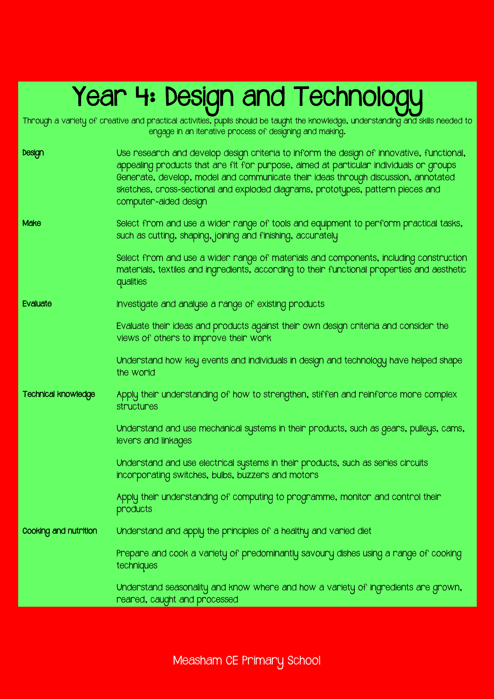## Year 4: Design and Technology

Through a variety of creative and practical activities, pupils should be taught the knowledge, understanding and skills needed to

engage in an iterative process of designing and making. Design Use research and develop design criteria to inform the design of innovative, functional, appealing products that are fit for purpose, aimed at particular individuals or groups Generate, develop, model and communicate their ideas through discussion, annotated sketches, cross-sectional and exploded diagrams, prototypes, pattern pieces and computer-aided design Make Select from and use a wider range of tools and equipment to perform practical tasks, such as cutting, shaping, joining and finishing, accurately Select from and use a wider range of materials and components, including construction materials, textiles and ingredients, according to their functional properties and aesthetic qualities Evaluate Investigate and analyse a range of existing products Evaluate their ideas and products against their own design criteria and consider the views of others to improve their work Understand how key events and individuals in design and technology have helped shape the world Technical knowledge Apply their understanding of how to strengthen, stiffen and reinforce more complex structures Understand and use mechanical systems in their products, such as gears, pulleys, cams, levers and linkages Understand and use electrical systems in their products, such as series circuits incorporating switches, bulbs, buzzers and motors Apply their understanding of computing to programme, monitor and control their products Cooking and nutrition Understand and apply the principles of a healthy and varied diet Prepare and cook a variety of predominantly savoury dishes using a range of cooking techniques Understand seasonality and know where and how a variety of ingredients are grown, reared, caught and processed